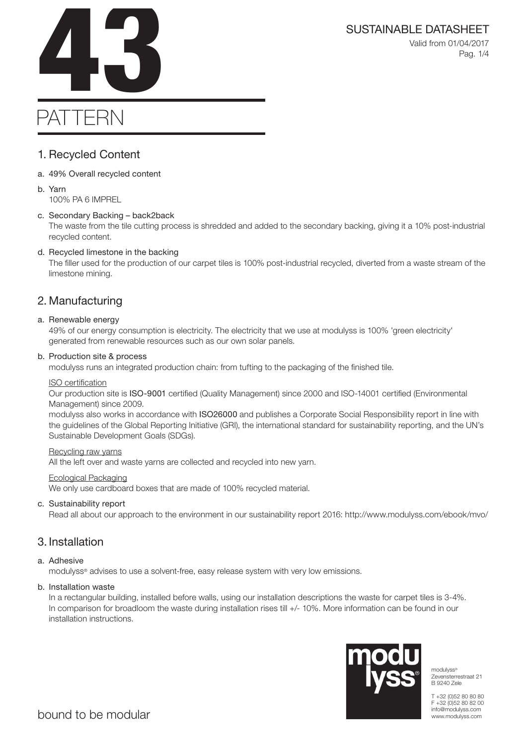Valid from 01/04/2017 Pag. 1/4

# SUSTAINABLE DATASHEET<br>Valid from 01/04/2017<br>Pag. 1/4

# PATTERN

# 1. Recycled Content

a. 49% Overall recycled content

### b. Yarn 100% PA 6 IMPREL

# c. Secondary Backing – back2back

The waste from the tile cutting process is shredded and added to the secondary backing, giving it a 10% post-industrial recycled content.

# d. Recycled limestone in the backing

The filler used for the production of our carpet tiles is 100% post-industrial recycled, diverted from a waste stream of the limestone mining.

# 2. Manufacturing

# a. Renewable energy

49% of our energy consumption is electricity. The electricity that we use at modulyss is 100% 'green electricity' generated from renewable resources such as our own solar panels.

# b. Production site & process

modulyss runs an integrated production chain: from tufting to the packaging of the finished tile.

# ISO certification

Our production site is ISO-9001 certified (Quality Management) since 2000 and ISO-14001 certified (Environmental Management) since 2009.

modulyss also works in accordance with ISO26000 and publishes a Corporate Social Responsibility report in line with the guidelines of the Global Reporting Initiative (GRI), the international standard for sustainability reporting, and the UN's Sustainable Development Goals (SDGs).

## Recycling raw yarns

All the left over and waste yarns are collected and recycled into new yarn.

## Ecological Packaging

We only use cardboard boxes that are made of 100% recycled material.

# c. Sustainability report

Read all about our approach to the environment in our sustainability report 2016: http://www.modulyss.com/ebook/mvo/

# 3. Installation

# a. Adhesive

modulyss® advises to use a solvent-free, easy release system with very low emissions.

# b. Installation waste

In a rectangular building, installed before walls, using our installation descriptions the waste for carpet tiles is 3-4%. In comparison for broadloom the waste during installation rises till +/- 10%. More information can be found in our installation instructions.



modulyss® Zevensterrestraat 21 B 9240 Zele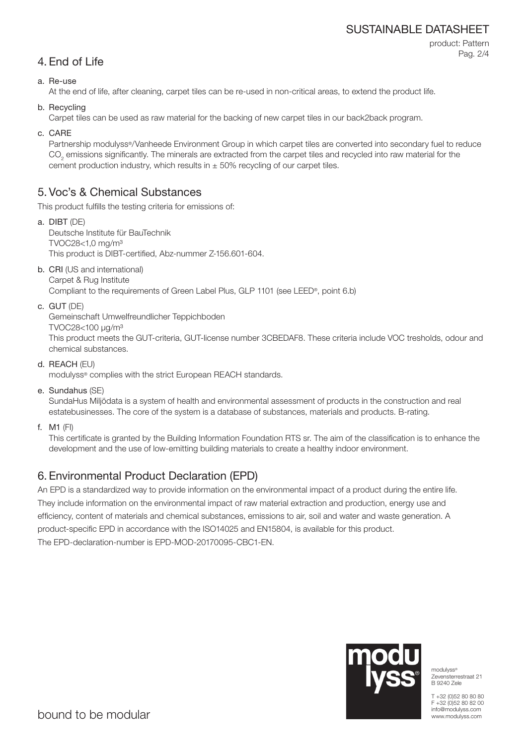# SUSTAINABLE DATASHEET

```
4. End of Life
```
product: Pattern Pag. 2/4

### a. Re-use

At the end of life, after cleaning, carpet tiles can be re-used in non-critical areas, to extend the product life.

b. Recycling

Carpet tiles can be used as raw material for the backing of new carpet tiles in our back2back program.

c. CARE

Partnership modulyss®/Vanheede Environment Group in which carpet tiles are converted into secondary fuel to reduce  $\mathrm{CO}_2$  emissions significantly. The minerals are extracted from the carpet tiles and recycled into raw material for the cement production industry, which results in  $\pm$  50% recycling of our carpet tiles.

# 5. Voc's & Chemical Substances

This product fulfills the testing criteria for emissions of:

- a. DIBT (DE) Deutsche Institute für BauTechnik TVOC28<1,0 mg/m³ This product is DIBT-certified, Abz-nummer Z-156.601-604.
- b. CRI (US and international) Carpet & Rug Institute

Compliant to the requirements of Green Label Plus, GLP 1101 (see LEED®, point 6.b)

c. GUT (DE)

Gemeinschaft Umwelfreundlicher Teppichboden

TVOC28<100 μg/m³

This product meets the GUT-criteria, GUT-license number 3CBEDAF8. These criteria include VOC tresholds, odour and chemical substances.

d. REACH (EU)

modulyss® complies with the strict European REACH standards.

e. Sundahus (SE)

SundaHus Miljödata is a system of health and environmental assessment of products in the construction and real estatebusinesses. The core of the system is a database of substances, materials and products. B-rating.

f. M1 (FI)

This certificate is granted by the Building Information Foundation RTS sr. The aim of the classification is to enhance the development and the use of low-emitting building materials to create a healthy indoor environment.

# 6. Environmental Product Declaration (EPD)

An EPD is a standardized way to provide information on the environmental impact of a product during the entire life. They include information on the environmental impact of raw material extraction and production, energy use and efficiency, content of materials and chemical substances, emissions to air, soil and water and waste generation. A product-specific EPD in accordance with the ISO14025 and EN15804, is available for this product. The EPD-declaration-number is EPD-MOD-20170095-CBC1-EN.



modulyss® Zevensterrestraat 21 B 9240 Zele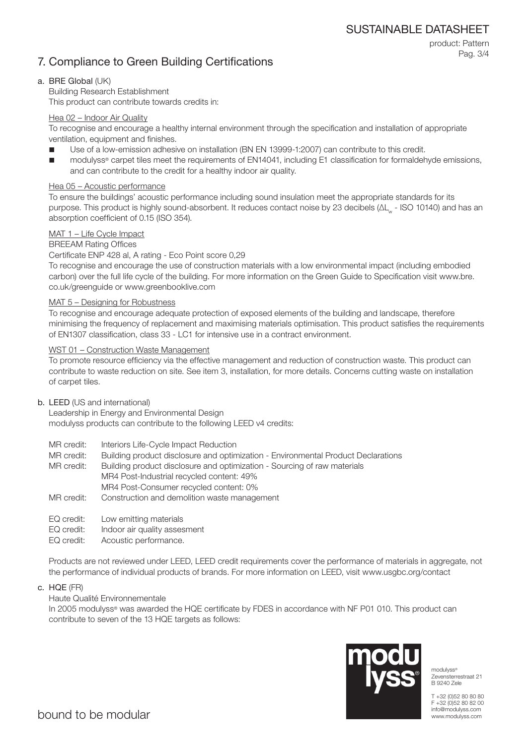# 7. Compliance to Green Building Certifications

product: Pattern Pag. 3/4

### a. BRE Global (UK)

Building Research Establishment This product can contribute towards credits in:

### Hea 02 – Indoor Air Quality

To recognise and encourage a healthy internal environment through the specification and installation of appropriate ventilation, equipment and finishes.

- Use of a low-emission adhesive on installation (BN EN 13999-1:2007) can contribute to this credit.
- modulyss® carpet tiles meet the requirements of EN14041, including E1 classification for formaldehyde emissions, and can contribute to the credit for a healthy indoor air quality.

### Hea 05 – Acoustic performance

To ensure the buildings' acoustic performance including sound insulation meet the appropriate standards for its purpose. This product is highly sound-absorbent. It reduces contact noise by 23 decibels (ΔL<sub>w</sub> - ISO 10140) and has an absorption coefficient of 0.15 (ISO 354).

### MAT 1 – Life Cycle Impact

### BREEAM Rating Offices

Certificate ENP 428 al, A rating - Eco Point score 0,29

To recognise and encourage the use of construction materials with a low environmental impact (including embodied carbon) over the full life cycle of the building. For more information on the Green Guide to Specification visit www.bre. co.uk/greenguide or www.greenbooklive.com

### MAT 5 – Designing for Robustness

To recognise and encourage adequate protection of exposed elements of the building and landscape, therefore minimising the frequency of replacement and maximising materials optimisation. This product satisfies the requirements of EN1307 classification, class 33 - LC1 for intensive use in a contract environment.

### WST 01 – Construction Waste Management

To promote resource efficiency via the effective management and reduction of construction waste. This product can contribute to waste reduction on site. See item 3, installation, for more details. Concerns cutting waste on installation of carpet tiles.

### b. LEED (US and international)

Leadership in Energy and Environmental Design modulyss products can contribute to the following LEED v4 credits:

- MR credit: Interiors Life-Cycle Impact Reduction
- MR credit: Building product disclosure and optimization Environmental Product Declarations

MR credit: Building product disclosure and optimization - Sourcing of raw materials MR4 Post-Industrial recycled content: 49% MR4 Post-Consumer recycled content: 0%

- MR credit: Construction and demolition waste management
- EQ credit: Low emitting materials
- EQ credit: Indoor air quality assesment
- EQ credit: Acoustic performance.

Products are not reviewed under LEED, LEED credit requirements cover the performance of materials in aggregate, not the performance of individual products of brands. For more information on LEED, visit www.usgbc.org/contact

c. HQE (FR)

### Haute Qualité Environnementale

In 2005 modulyss® was awarded the HQE certificate by FDES in accordance with NF P01 010. This product can contribute to seven of the 13 HQE targets as follows:



modulyss<sup>®</sup> Zevensterrestraat 21 B 9240 Zele